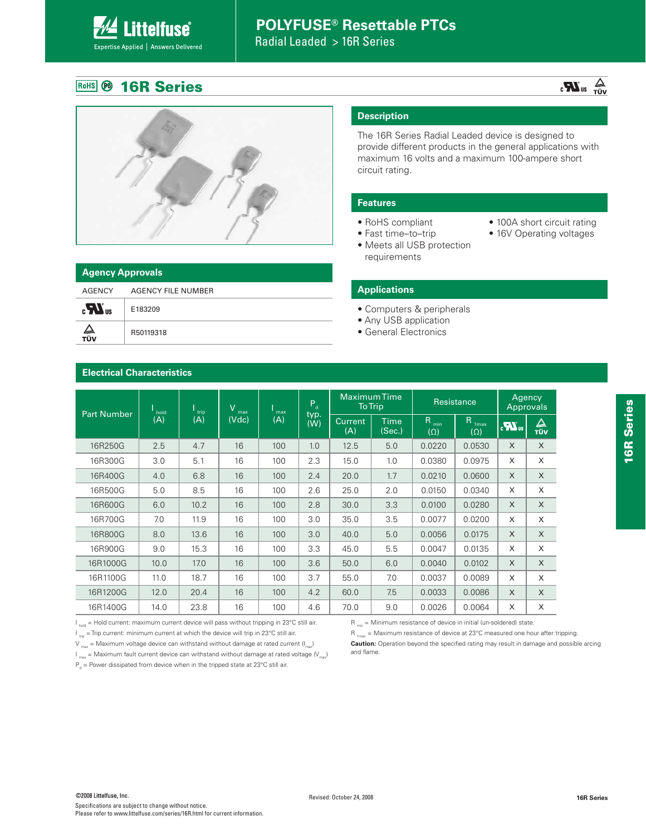Radial Leaded > 16R Series

### **RoHS** @ 16R Series

**Littelfuse**®

Expertise Applied | Answers Delivered

**Electrical Characteristics**



|              | <b>Agency Approvals</b> |  |  |  |  |  |  |  |
|--------------|-------------------------|--|--|--|--|--|--|--|
| AGENCY       | AGENCY FILE NUMBER      |  |  |  |  |  |  |  |
| $\mathbf{r}$ | E183209                 |  |  |  |  |  |  |  |
| ∠<br>тüv     | R50119318               |  |  |  |  |  |  |  |

### **Description**

The 16R Series Radial Leaded device is designed to provide different products in the general applications with maximum 16 volts and a maximum 100-ampere short circuit rating.

 $R_{\text{max}}$  = Maximum resistance of device at 23°C measured one hour after tripping. **Caution:** Operation beyond the specified rating may result in damage and possible arcing

#### **Features**

• RoHS compliant • Fast time-to-trip

requirements

- 100A short circuit rating
- 16V Operating voltages

 $\sum_{\text{VÜT}}$  au  $\sum_{\text{VÜV}}$ 

#### **Applications**

• Computers & peripherals

• Meets all USB protection

- Any USB application
- General Electronics

|                    | hold<br>trip                                                                                                                                                                                            | V<br>max | max   | $P_{d}$ | <b>Maximum Time</b><br><b>To Trip</b> |                       | Resistance            |                                | Agency<br><b>Approvals</b>      |              |          |
|--------------------|---------------------------------------------------------------------------------------------------------------------------------------------------------------------------------------------------------|----------|-------|---------|---------------------------------------|-----------------------|-----------------------|--------------------------------|---------------------------------|--------------|----------|
| <b>Part Number</b> | (A)                                                                                                                                                                                                     | (A)      | (Vdc) | (A)     | typ.<br>(W)                           | <b>Current</b><br>(A) | <b>Time</b><br>(Sec.) | R <sub>min</sub><br>$(\Omega)$ | R <sub>1max</sub><br>$(\Omega)$ | $\mathbf{Z}$ | △<br>TÜV |
| 16R250G            | 2.5                                                                                                                                                                                                     | 4.7      | 16    | 100     | 1.0                                   | 12.5                  | 5.0                   | 0.0220                         | 0.0530                          | $\times$     | $\times$ |
| 16R300G            | 3.0                                                                                                                                                                                                     | 5.1      | 16    | 100     | 2.3                                   | 15.0                  | 1.0                   | 0.0380                         | 0.0975                          | $\times$     | X        |
| 16R400G            | 4.0                                                                                                                                                                                                     | 6.8      | 16    | 100     | 2.4                                   | 20.0                  | 1.7                   | 0.0210                         | 0.0600                          | $\times$     | X        |
| 16R500G            | 5.0                                                                                                                                                                                                     | 8.5      | 16    | 100     | 2.6                                   | 25.0                  | 2.0                   | 0.0150                         | 0.0340                          | X            | X        |
| 16R600G            | 6.0                                                                                                                                                                                                     | 10.2     | 16    | 100     | 2.8                                   | 30.0                  | 3.3                   | 0.0100                         | 0.0280                          | $\times$     | $\times$ |
| 16R700G            | 7.0                                                                                                                                                                                                     | 11.9     | 16    | 100     | 3.0                                   | 35.0                  | 3.5                   | 0.0077                         | 0.0200                          | $\times$     | X        |
| 16R800G            | 8.0                                                                                                                                                                                                     | 13.6     | 16    | 100     | 3.0                                   | 40.0                  | 5.0                   | 0.0056                         | 0.0175                          | $\times$     | X        |
| 16R900G            | 9.0                                                                                                                                                                                                     | 15.3     | 16    | 100     | 3.3                                   | 45.0                  | 5.5                   | 0.0047                         | 0.0135                          | X            | X        |
| 16R1000G           | 10.0                                                                                                                                                                                                    | 17.0     | 16    | 100     | 3.6                                   | 50.0                  | 6.0                   | 0.0040                         | 0.0102                          | $\times$     | X        |
| 16R1100G           | 11.0                                                                                                                                                                                                    | 18.7     | 16    | 100     | 3.7                                   | 55.0                  | 7.0                   | 0.0037                         | 0.0089                          | $\times$     | X        |
| 16R1200G           | 12.0                                                                                                                                                                                                    | 20.4     | 16    | 100     | 4.2                                   | 60.0                  | 7.5                   | 0.0033                         | 0.0086                          | $\times$     | X        |
| 16R1400G           | 14.0                                                                                                                                                                                                    | 23.8     | 16    | 100     | 4.6                                   | 70.0                  | 9.0                   | 0.0026                         | 0.0064                          | $\times$     | X        |
|                    | $\vert$ $\vert$ <sub>hold</sub> = Hold current: maximum current device will pass without tripping in 23°C still air.<br>$R_{\text{min}}$ = Minimum resistance of device in initial (un-soldered) state. |          |       |         |                                       |                       |                       |                                |                                 |              |          |

 $I_{hold}$  = Hold current: maximum current device will pass without tripping in 23°C still air.

 $I_{\text{trip}}$  = Trip current: minimum current at which the device will trip in 23°C still air.

V  $_{\text{max}}$  = Maximum voltage device can withstand without damage at rated current ( $I_{\text{max}}$ )

 $I_{\text{max}}$  = Maximum fault current device can withstand without damage at rated voltage ( $V_{\text{max}}$ )

 $P_d$  = Power dissipated from device when in the tripped state at 23°C still air.

and flame.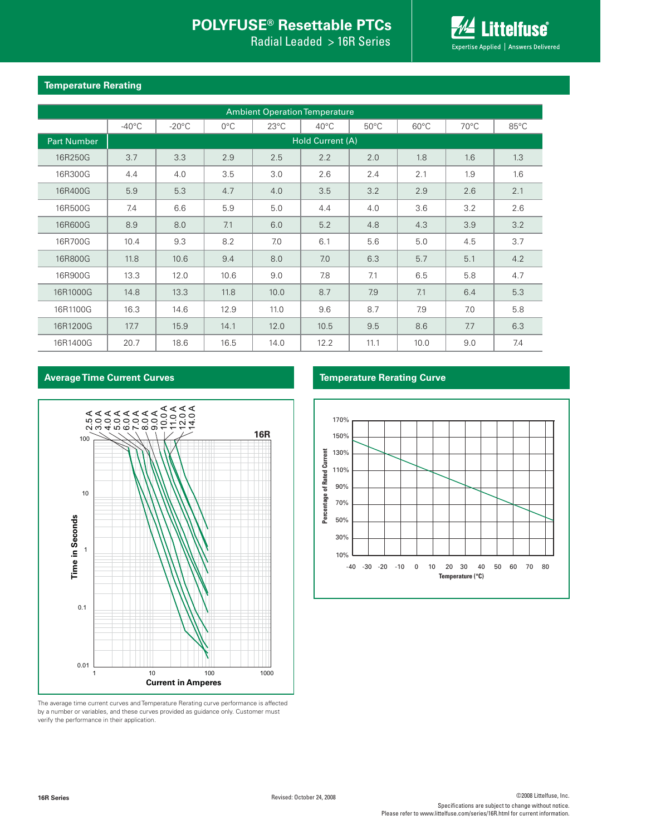Radial Leaded > 16R Series



#### **Temperature Rerating**

| <b>Ambient Operation Temperature</b> |                  |                 |               |                |                |                |                |                |      |  |
|--------------------------------------|------------------|-----------------|---------------|----------------|----------------|----------------|----------------|----------------|------|--|
|                                      | $-40^{\circ}$ C  | $-20^{\circ}$ C | $0^{\circ}$ C | $23^{\circ}$ C | $40^{\circ}$ C | $50^{\circ}$ C | $60^{\circ}$ C | $70^{\circ}$ C | 85°C |  |
| <b>Part Number</b>                   | Hold Current (A) |                 |               |                |                |                |                |                |      |  |
| 16R250G                              | 3.7              | 3.3             | 2.9           | 2.5            | 2.2            | 2.0            | 1.8            | 1.6            | 1.3  |  |
| 16R300G                              | 4.4              | 4.0             | 3.5           | 3.0            | 2.6            | 2.4            | 2.1            | 1.9            | 1.6  |  |
| 16R400G                              | 5.9              | 5.3             | 4.7           | 4.0            | 3.5            | 3.2            | 2.9            | 2.6            | 2.1  |  |
| 16R500G                              | 7.4              | 6.6             | 5.9           | 5.0            | 4.4            | 4.0            | 3.6            | 3.2            | 2.6  |  |
| 16R600G                              | 8.9              | 8.0             | 7.1           | 6.0            | 5.2            | 4.8            | 4.3            | 3.9            | 3.2  |  |
| 16R700G                              | 10.4             | 9.3             | 8.2           | 7.0            | 6.1            | 5.6            | 5.0            | 4.5            | 3.7  |  |
| 16R800G                              | 11.8             | 10.6            | 9.4           | 8.0            | 7.0            | 6.3            | 5.7            | 5.1            | 4.2  |  |
| 16R900G                              | 13.3             | 12.0            | 10.6          | 9.0            | 7.8            | 7.1            | 6.5            | 5.8            | 4.7  |  |
| 16R1000G                             | 14.8             | 13.3            | 11.8          | 10.0           | 8.7            | 7.9            | 7.1            | 6.4            | 5.3  |  |
| 16R1100G                             | 16.3             | 14.6            | 12.9          | 11.0           | 9.6            | 8.7            | 7.9            | 7.0            | 5.8  |  |
| 16R1200G                             | 17.7             | 15.9            | 14.1          | 12.0           | 10.5           | 9.5            | 8.6            | 7.7            | 6.3  |  |
| 16R1400G                             | 20.7             | 18.6            | 16.5          | 14.0           | 12.2           | 11.1           | 10.0           | 9.0            | 7.4  |  |

#### **Average Time Current Curves Temperature Rerating Curve**



The average time current curves and Temperature Rerating curve performance is affected by a number or variables, and these curves provided as guidance only. Customer must verify the performance in their application.

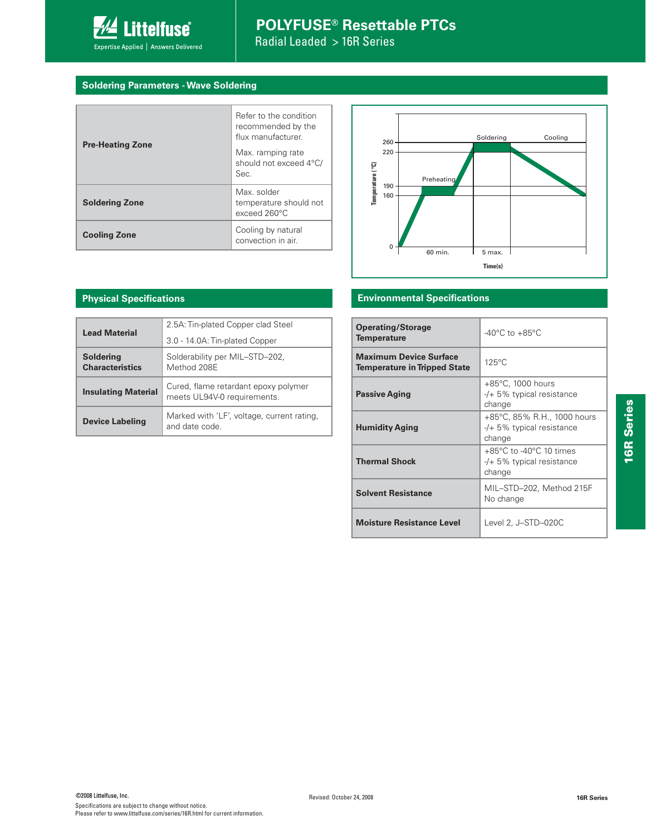

#### **Soldering Parameters - Wave Soldering**

| <b>Pre-Heating Zone</b> | Refer to the condition<br>recommended by the<br>flux manufacturer<br>Max. ramping rate<br>should not exceed 4°C/<br>Sec. |
|-------------------------|--------------------------------------------------------------------------------------------------------------------------|
| <b>Soldering Zone</b>   | Max. solder<br>temperature should not<br>exceed 260°C                                                                    |
| <b>Cooling Zone</b>     | Cooling by natural<br>convection in air.                                                                                 |



#### **Environmental Specifications**

| <b>Operating/Storage</b><br><b>Temperature</b>                | $-40^{\circ}$ C to $+85^{\circ}$ C                                                     |
|---------------------------------------------------------------|----------------------------------------------------------------------------------------|
| Maximum Device Surface<br><b>Temperature in Tripped State</b> | $125^{\circ}$ C                                                                        |
| <b>Passive Aging</b>                                          | +85°C, 1000 hours<br>$-/-$ 5% typical resistance<br>change                             |
| <b>Humidity Aging</b>                                         | +85°C, 85% R.H., 1000 hours<br>$-$ /+ 5% typical resistance<br>change                  |
| <b>Thermal Shock</b>                                          | $+85^{\circ}$ C to -40 $^{\circ}$ C 10 times<br>$-$ /+ 5% typical resistance<br>change |
| <b>Solvent Resistance</b>                                     | MIL-STD-202, Method 215F<br>No change                                                  |
| <b>Moisture Resistance Level</b>                              | Level 2, J-STD-020C                                                                    |

#### **Physical Specifications**

| <b>Lead Material</b>                       | 2.5A: Tin-plated Copper clad Steel<br>3.0 - 14.0A: Tin-plated Copper |
|--------------------------------------------|----------------------------------------------------------------------|
| <b>Soldering</b><br><b>Characteristics</b> | Solderability per MIL-STD-202,<br>Method 208F                        |
| <b>Insulating Material</b>                 | Cured, flame retardant epoxy polymer<br>meets UL94V-0 requirements.  |
| <b>Device Labeling</b>                     | Marked with 'LF', voltage, current rating,<br>and date code          |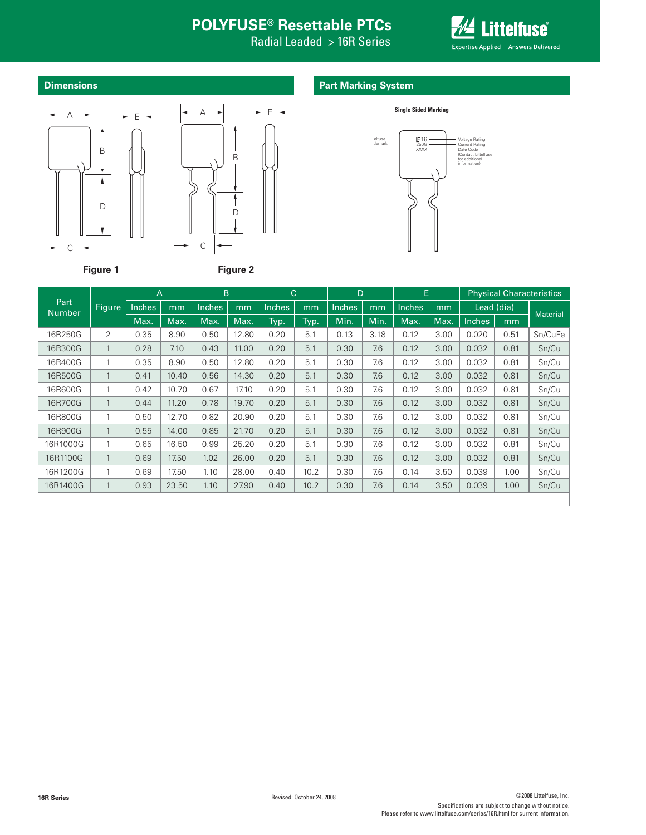Radial Leaded > 16R Series



**Dimensions**

### **Part Marking System**





**Single Sided Marking**

|                       | A              |        | B<br>$\mathsf{C}$ |               | D     |        | E    |        | <b>Physical Characteristics</b> |               |      |        |            |                 |
|-----------------------|----------------|--------|-------------------|---------------|-------|--------|------|--------|---------------------------------|---------------|------|--------|------------|-----------------|
| Part<br><b>Number</b> | Figure         | Inches | mm                | <b>Inches</b> | mm    | Inches | mm   | Inches | mm                              | <b>Inches</b> | mm   |        | Lead (dia) | <b>Material</b> |
|                       |                | Max.   | Max.              | Max.          | Max.  | Typ.   | Typ. | Min.   | Min.                            | Max.          | Max. | Inches | mm         |                 |
| 16R250G               | $\overline{2}$ | 0.35   | 8.90              | 0.50          | 12.80 | 0.20   | 5.1  | 0.13   | 3.18                            | 0.12          | 3.00 | 0.020  | 0.51       | Sn/CuFe         |
| 16R300G               | $\mathbf{1}$   | 0.28   | 7.10              | 0.43          | 11.00 | 0.20   | 5.1  | 0.30   | 7.6                             | 0.12          | 3.00 | 0.032  | 0.81       | Sn/Cu           |
| 16R400G               | 1              | 0.35   | 8.90              | 0.50          | 12.80 | 0.20   | 5.1  | 0.30   | 7.6                             | 0.12          | 3.00 | 0.032  | 0.81       | Sn/Cu           |
| 16R500G               | $\mathbf{1}$   | 0.41   | 10.40             | 0.56          | 14.30 | 0.20   | 5.1  | 0.30   | 7.6                             | 0.12          | 3.00 | 0.032  | 0.81       | Sn/Cu           |
| 16R600G               | $\mathbf{1}$   | 0.42   | 10.70             | 0.67          | 17.10 | 0.20   | 5.1  | 0.30   | 7.6                             | 0.12          | 3.00 | 0.032  | 0.81       | Sn/Cu           |
| 16R700G               | $\mathbf{1}$   | 0.44   | 11.20             | 0.78          | 19.70 | 0.20   | 5.1  | 0.30   | 7.6                             | 0.12          | 3.00 | 0.032  | 0.81       | Sn/Cu           |
| 16R800G               | 1              | 0.50   | 12.70             | 0.82          | 20.90 | 0.20   | 5.1  | 0.30   | 7.6                             | 0.12          | 3.00 | 0.032  | 0.81       | Sn/Cu           |
| 16R900G               | $\mathbf{1}$   | 0.55   | 14.00             | 0.85          | 21.70 | 0.20   | 5.1  | 0.30   | 7.6                             | 0.12          | 3.00 | 0.032  | 0.81       | Sn/Cu           |
| 16R1000G              | $\mathbf{1}$   | 0.65   | 16.50             | 0.99          | 25.20 | 0.20   | 5.1  | 0.30   | 7.6                             | 0.12          | 3.00 | 0.032  | 0.81       | Sn/Cu           |
| 16R1100G              | $\mathbf{1}$   | 0.69   | 17.50             | 1.02          | 26.00 | 0.20   | 5.1  | 0.30   | 7.6                             | 0.12          | 3.00 | 0.032  | 0.81       | Sn/Cu           |
| 16R1200G              | 1              | 0.69   | 17.50             | 1.10          | 28.00 | 0.40   | 10.2 | 0.30   | 7.6                             | 0.14          | 3.50 | 0.039  | 1.00       | Sn/Cu           |
| 16R1400G              | $\mathbf{1}$   | 0.93   | 23.50             | 1.10          | 27.90 | 0.40   | 10.2 | 0.30   | 7.6                             | 0.14          | 3.50 | 0.039  | 1.00       | Sn/Cu           |
|                       |                |        |                   |               |       |        |      |        |                                 |               |      |        |            |                 |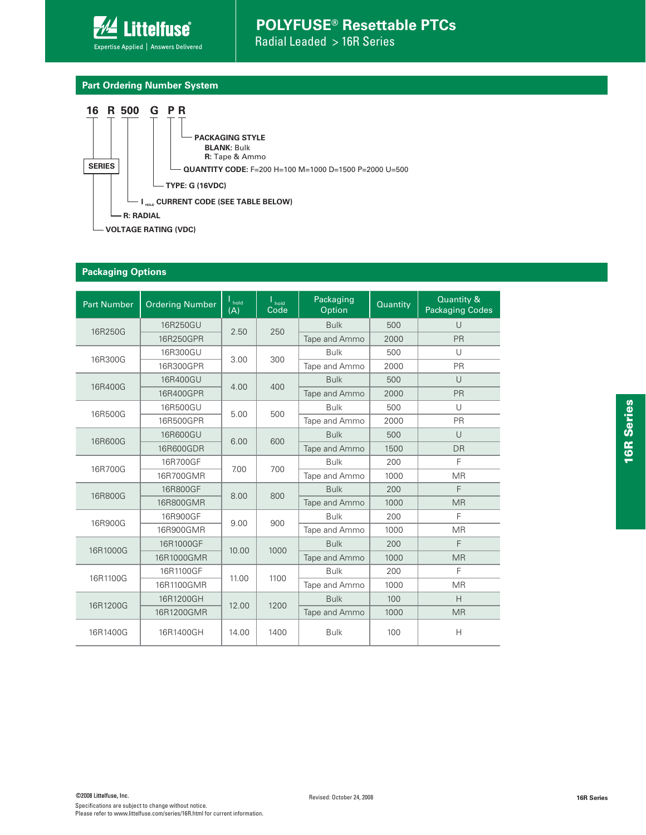

#### **Part Ordering Number System**



#### **Packaging Options**

| <b>Part Number</b> | <b>Ordering Number</b> | $\mathsf{I}_{\mathsf{hold}}$<br>(A) | $\frac{1}{2}$ hold<br>Code | Packaging<br>Option | Quantity | Quantity &<br><b>Packaging Codes</b> |
|--------------------|------------------------|-------------------------------------|----------------------------|---------------------|----------|--------------------------------------|
| 16R250G            | 16R250GU               | 2.50                                | 250                        | <b>Bulk</b>         | 500      | $\cup$                               |
|                    | 16R250GPR              |                                     |                            | Tape and Ammo       | 2000     | <b>PR</b>                            |
| 16R300G            | 16R300GU               | 3.00                                | 300                        | <b>Bulk</b>         | 500      | U                                    |
|                    | 16R300GPR              |                                     |                            | Tape and Ammo       | 2000     | PR                                   |
| 16R400G            | 16R400GU               | 400<br>4.00                         |                            | <b>Bulk</b>         | 500      | $\cup$                               |
|                    | 16R400GPR              |                                     |                            | Tape and Ammo       | 2000     | <b>PR</b>                            |
| 16R500G            | 16R500GU               | 5.00                                | 500                        | <b>Bulk</b>         | 500      | $\cup$                               |
|                    | 16R500GPR              |                                     |                            | Tape and Ammo       | 2000     | PR                                   |
| 16R600G            | 16R600GU               | 6.00                                | 600                        | <b>Bulk</b>         | 500      | $\cup$                               |
|                    | 16R600GDR              |                                     |                            | Tape and Ammo       | 1500     | DR                                   |
| 16R700G            | 16R700GF               | 7.00                                | 700                        | <b>Bulk</b>         | 200      | F                                    |
|                    | 16R700GMR              |                                     |                            | Tape and Ammo       | 1000     | <b>MR</b>                            |
| 16R800G            | 16R800GF               | 8.00<br>800                         |                            | <b>Bulk</b>         | 200      | F                                    |
|                    | 16R800GMR              |                                     |                            | Tape and Ammo       | 1000     | <b>MR</b>                            |
| 16R900G            | 16R900GF               | 9.00<br>900                         |                            | <b>Bulk</b>         | 200      | F                                    |
|                    | 16R900GMR              |                                     |                            | Tape and Ammo       | 1000     | <b>MR</b>                            |
| 16R1000G           | 16R1000GF              | 10.00                               | 1000                       | <b>Bulk</b>         | 200      | F                                    |
|                    | 16R1000GMR             |                                     |                            | Tape and Ammo       | 1000     | <b>MR</b>                            |
| 16R1100G           | 16R1100GF              | 11.00                               | 1100                       | <b>Bulk</b>         | 200      | F                                    |
|                    | 16R1100GMR             |                                     |                            | Tape and Ammo       | 1000     | <b>MR</b>                            |
| 16R1200G           | 16R1200GH              | 12.00                               | 1200                       | <b>Bulk</b>         | 100      | H                                    |
|                    | 16R1200GMR             |                                     |                            | Tape and Ammo       | 1000     | <b>MR</b>                            |
| 16R1400G           | 16R1400GH              | 14.00                               | 1400                       | <b>Bulk</b>         | 100      | H                                    |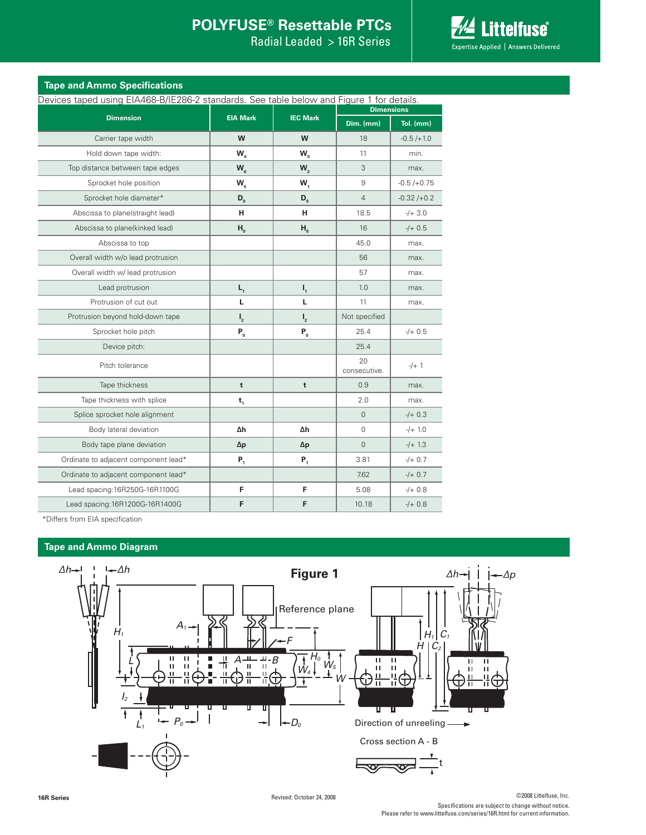Radial Leaded > 16R Series



| Devices taped using EIA468-B/IE286-2 standards. See table below and Figure 1 for details. |                  |                  |                    |                |
|-------------------------------------------------------------------------------------------|------------------|------------------|--------------------|----------------|
|                                                                                           |                  |                  | <b>Dimensions</b>  |                |
| <b>Dimension</b>                                                                          | <b>EIA Mark</b>  | <b>IEC Mark</b>  |                    | Tol. (mm)      |
| Carrier tape width                                                                        | W                | W                | 18                 | $-0.5 / + 1.0$ |
| Hold down tape width:                                                                     | W                | W <sub>o</sub>   | 11                 | min.           |
| Top distance between tape edges                                                           | $W_{\kappa}$     | W <sub>2</sub>   | 3                  | max.           |
| Sprocket hole position                                                                    | $W_{\rm s}$      | $W_1$            | 9                  | $-0.5/+0.75$   |
| Sprocket hole diameter*                                                                   | $D_{0}$          | $D_{0}$          | $\overline{4}$     | $-0.32 / +0.2$ |
| Abscissa to plane(straight lead)                                                          | н                | н                | 18.5               | $-/- 3.0$      |
| Abscissa to plane(kinked lead)                                                            | $H_{0}$          | $H_{0}$          | 16                 | $-/- 0.5$      |
| Abscissa to top                                                                           |                  |                  | 45.0               | max.           |
| Overall width w/o lead protrusion                                                         |                  |                  | 56                 | max.           |
| Overall width w/ lead protrusion                                                          |                  |                  | 57                 | max.           |
| Lead protrusion                                                                           | $L_{1}$          | $\mathsf{I}_1$   | 1.0                | max.           |
| Protrusion of cut out                                                                     | L                | L                | 11                 | max.           |
| Protrusion beyond hold-down tape                                                          | $\mathbf{I}_{2}$ | $\mathbf{I}_{2}$ | Not specified      |                |
| Sprocket hole pitch                                                                       | $P_0$            | $P_0$            | 25.4               | $-/+$ 0.5      |
| Device pitch:                                                                             |                  |                  | 25.4               |                |
| Pitch tolerance                                                                           |                  |                  | 20<br>consecutive. | $-/- 1$        |
| Tape thickness                                                                            | t                | $\mathbf t$      | 0.9                | max.           |
| Tape thickness with splice                                                                | $t_{1}$          |                  | 2.0                | max.           |
| Splice sprocket hole alignment                                                            |                  |                  | $\Omega$           | $-/- 0.3$      |
| Body lateral deviation                                                                    | Δh               | Δh               | 0                  | $-/-1.0$       |
| Body tape plane deviation                                                                 | $\Delta p$       | Δp               | $\Omega$           | $-/-1.3$       |
| Ordinate to adjacent component lead*                                                      | $P_1$            | $P_{1}$          | 3.81               | $-/- 0.7$      |

Ordinate to adjacent component lead\* 7.62 -/+ 0.7 Lead spacing:16R250G-16R1100G **F F F** 5.08  $\left| \frac{4+0.8}{2+0.8} \right|$ Lead spacing:16R1200G-16R1400G **F F F** 10.18 -/+ 0.8

\*Differs from EIA specification

#### **Tape and Ammo Diagram**